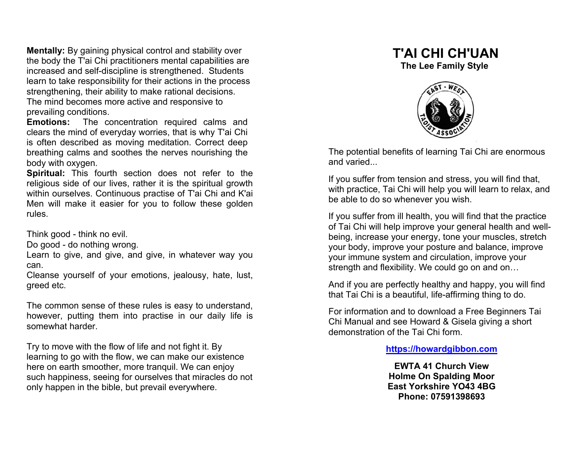**Mentally:** By gaining physical control and stability over the body the T'ai Chi practitioners mental capabilities are increased and self-discipline is strengthened. Students learn to take responsibility for their actions in the process strengthening, their ability to make rational decisions.

The mind becomes more active and responsive to prevailing conditions.

**Emotions:** The concentration required calms and clears the mind of everyday worries, that is why T'ai Chi is often described as moving meditation. Correct deep breathing calms and soothes the nerves nourishing the body with oxygen.

**Spiritual:** This fourth section does not refer to the religious side of our lives, rather it is the spiritual growth within ourselves. Continuous practise of T'ai Chi and K'ai Men will make it easier for you to follow these golden rules.

Think good - think no evil.

Do good - do nothing wrong.

Learn to give, and give, and give, in whatever way you can.

Cleanse yourself of your emotions, jealousy, hate, lust, greed etc.

The common sense of these rules is easy to understand, however, putting them into practise in our daily life is somewhat harder.

Try to move with the flow of life and not fight it. By learning to go with the flow, we can make our existence here on earth smoother, more tranquil. We can enjoy such happiness, seeing for ourselves that miracles do not only happen in the bible, but prevail everywhere.

## **T'AI CHI CH'UAN**

 **The Lee Family Style** 



The potential benefits of learning Tai Chi are enormous and varied.

If you suffer from tension and stress, you will find that, with practice, Tai Chi will help you will learn to relax, and be able to do so whenever you wish.

If you suffer from ill health, you will find that the practice of Tai Chi will help improve your general health and wellbeing, increase your energy, tone your muscles, stretch your body, improve your posture and balance, improve your immune system and circulation, improve your strength and flexibility. We could go on and on…

And if you are perfectly healthy and happy, you will find that Tai Chi is a beautiful, life-affirming thing to do.

For information and to download a Free Beginners Tai Chi Manual and see Howard & Gisela giving a short demonstration of the Tai Chi form.

**https://howardgibbon.com**

**EWTA 41 Church View Holme On Spalding Moor East Yorkshire YO43 4BG Phone: 07591398693**